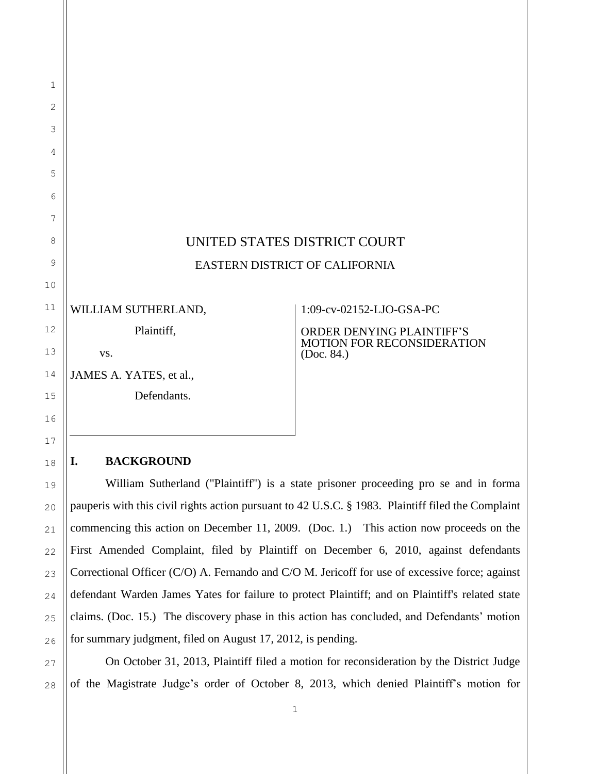# UNITED STATES DISTRICT COURT EASTERN DISTRICT OF CALIFORNIA

WILLIAM SUTHERLAND,

Plaintiff,

vs.

JAMES A. YATES, et al.,

Defendants.

1:09-cv-02152-LJO-GSA-PC

ORDER DENYING PLAINTIFF'S MOTION FOR RECONSIDERATION (Doc. 84.)

#### **I. BACKGROUND**

William Sutherland ("Plaintiff") is a state prisoner proceeding pro se and in forma pauperis with this civil rights action pursuant to 42 U.S.C. § 1983. Plaintiff filed the Complaint commencing this action on December 11, 2009. (Doc. 1.) This action now proceeds on the First Amended Complaint, filed by Plaintiff on December 6, 2010, against defendants Correctional Officer (C/O) A. Fernando and C/O M. Jericoff for use of excessive force; against defendant Warden James Yates for failure to protect Plaintiff; and on Plaintiff's related state claims. (Doc. 15.) The discovery phase in this action has concluded, and Defendants' motion for summary judgment, filed on August 17, 2012, is pending.

On October 31, 2013, Plaintiff filed a motion for reconsideration by the District Judge of the Magistrate Judge's order of October 8, 2013, which denied Plaintiff's motion for

1

2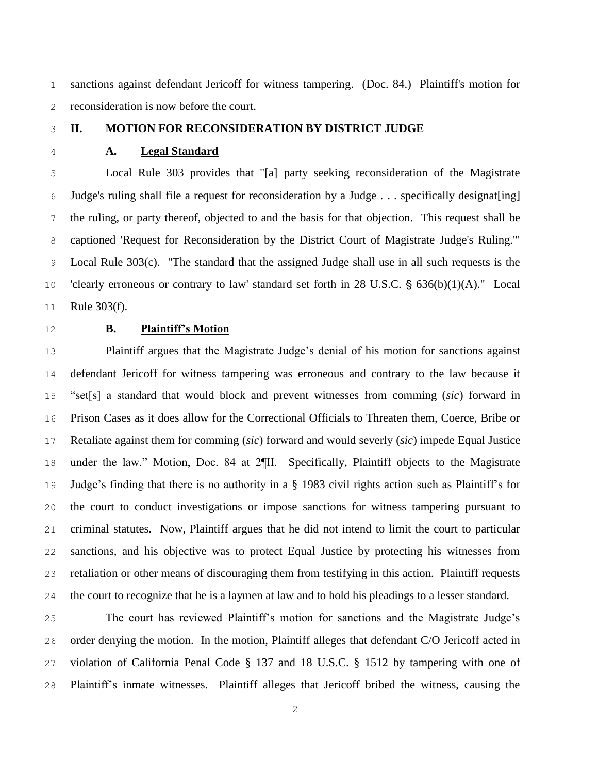1 2 sanctions against defendant Jericoff for witness tampering. (Doc. 84.) Plaintiff's motion for reconsideration is now before the court.

# 5 8

3

4

6

7

9

10

11

12

13

14

15

16

17

18

19

20

21

22

23

24

#### **II. MOTION FOR RECONSIDERATION BY DISTRICT JUDGE**

#### **A. Legal Standard**

Local Rule 303 provides that "[a] party seeking reconsideration of the Magistrate Judge's ruling shall file a request for reconsideration by a Judge . . . specifically designat[ing] the ruling, or party thereof, objected to and the basis for that objection. This request shall be captioned 'Request for Reconsideration by the District Court of Magistrate Judge's Ruling.'" Local Rule 303(c). "The standard that the assigned Judge shall use in all such requests is the 'clearly erroneous or contrary to law' standard set forth in  $28$  U.S.C.  $\S$  636(b)(1)(A)." Local Rule 303(f).

## **B. Plaintiff's Motion**

Plaintiff argues that the Magistrate Judge's denial of his motion for sanctions against defendant Jericoff for witness tampering was erroneous and contrary to the law because it "set[s] a standard that would block and prevent witnesses from comming (*sic*) forward in Prison Cases as it does allow for the Correctional Officials to Threaten them, Coerce, Bribe or Retaliate against them for comming (*sic*) forward and would severly (*sic*) impede Equal Justice under the law." Motion, Doc. 84 at 2¶II. Specifically, Plaintiff objects to the Magistrate Judge's finding that there is no authority in a § 1983 civil rights action such as Plaintiff's for the court to conduct investigations or impose sanctions for witness tampering pursuant to criminal statutes. Now, Plaintiff argues that he did not intend to limit the court to particular sanctions, and his objective was to protect Equal Justice by protecting his witnesses from retaliation or other means of discouraging them from testifying in this action. Plaintiff requests the court to recognize that he is a laymen at law and to hold his pleadings to a lesser standard.

25 26 27 28 The court has reviewed Plaintiff's motion for sanctions and the Magistrate Judge's order denying the motion. In the motion, Plaintiff alleges that defendant C/O Jericoff acted in violation of California Penal Code § 137 and 18 U.S.C. § 1512 by tampering with one of Plaintiff's inmate witnesses. Plaintiff alleges that Jericoff bribed the witness, causing the